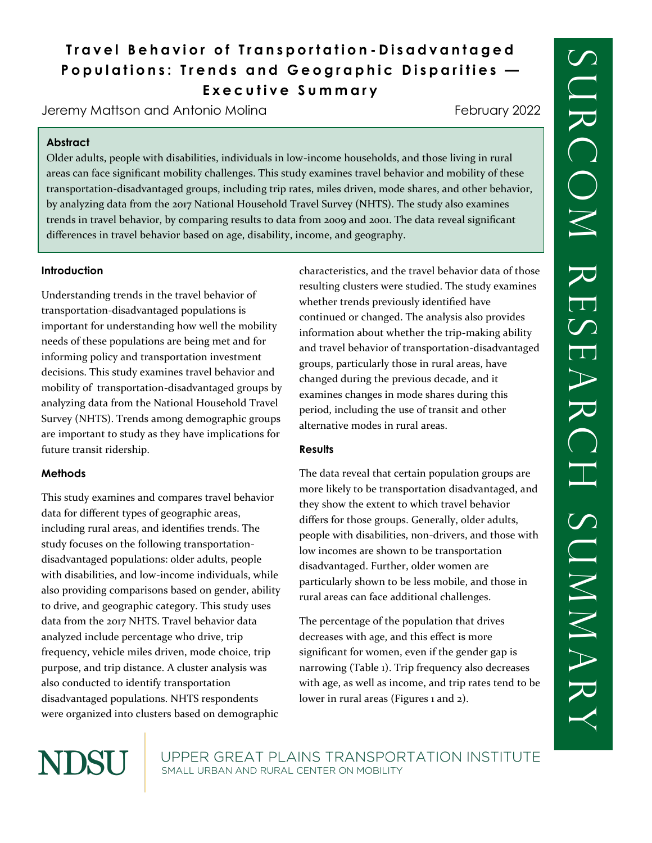# **Travel Behavior of Transportation - Disadvantaged Populations: Trends and Geographic Disparities — E x e c u t i v e S u m m a r y**

Jeremy Mattson and Antonio Molina

February 2022

### **Abstract**

Older adults, people with disabilities, individuals in low-income households, and those living in rural areas can face significant mobility challenges. This study examines travel behavior and mobility of these transportation-disadvantaged groups, including trip rates, miles driven, mode shares, and other behavior, by analyzing data from the 2017 National Household Travel Survey (NHTS). The study also examines trends in travel behavior, by comparing results to data from 2009 and 2001. The data reveal significant differences in travel behavior based on age, disability, income, and geography.

### **Introduction**

Understanding trends in the travel behavior of transportation-disadvantaged populations is important for understanding how well the mobility needs of these populations are being met and for informing policy and transportation investment decisions. This study examines travel behavior and mobility of transportation-disadvantaged groups by analyzing data from the National Household Travel Survey (NHTS). Trends among demographic groups are important to study as they have implications for future transit ridership.

## **Methods**

This study examines and compares travel behavior data for different types of geographic areas, including rural areas, and identifies trends. The study focuses on the following transportationdisadvantaged populations: older adults, people with disabilities, and low-income individuals, while also providing comparisons based on gender, ability to drive, and geographic category. This study uses data from the 2017 NHTS. Travel behavior data analyzed include percentage who drive, trip frequency, vehicle miles driven, mode choice, trip purpose, and trip distance. A cluster analysis was also conducted to identify transportation disadvantaged populations. NHTS respondents were organized into clusters based on demographic

characteristics, and the travel behavior data of those resulting clusters were studied. The study examines whether trends previously identified have continued or changed. The analysis also provides information about whether the trip-making ability and travel behavior of transportation-disadvantaged groups, particularly those in rural areas, have changed during the previous decade, and it examines changes in mode shares during this period, including the use of transit and other alternative modes in rural areas.

### **Results**

The data reveal that certain population groups are more likely to be transportation disadvantaged, and they show the extent to which travel behavior differs for those groups. Generally, older adults, people with disabilities, non-drivers, and those with low incomes are shown to be transportation disadvantaged. Further, older women are particularly shown to be less mobile, and those in rural areas can face additional challenges.

The percentage of the population that drives decreases with age, and this effect is more significant for women, even if the gender gap is narrowing (Table 1). Trip frequency also decreases with age, as well as income, and trip rates tend to be lower in rural areas (Figures 1 and 2).



UPPER GREAT PLAINS TRANSPORTATION INSTITUTE SMALL URBAN AND RURAL CENTER ON MOBILITY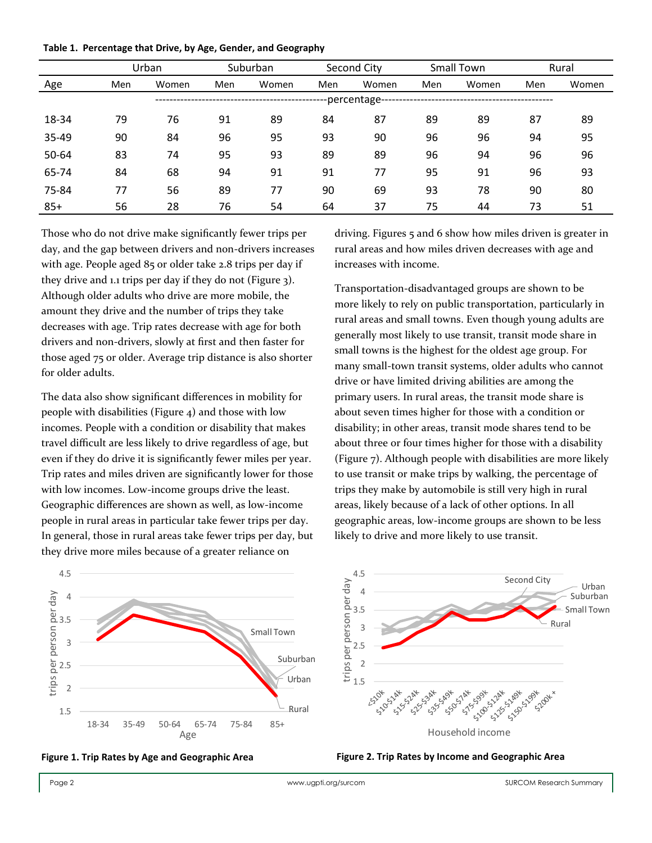|  | Table 1. Percentage that Drive, by Age, Gender, and Geography |  |  |  |  |  |
|--|---------------------------------------------------------------|--|--|--|--|--|
|--|---------------------------------------------------------------|--|--|--|--|--|

|       |     | Urban        |     | Suburban |     | Second City |     | <b>Small Town</b> |     | Rural |  |
|-------|-----|--------------|-----|----------|-----|-------------|-----|-------------------|-----|-------|--|
| Age   | Men | Women        | Men | Women    | Men | Women       | Men | Women             | Men | Women |  |
|       |     | -percentage- |     |          |     |             |     |                   |     |       |  |
| 18-34 | 79  | 76           | 91  | 89       | 84  | 87          | 89  | 89                | 87  | 89    |  |
| 35-49 | 90  | 84           | 96  | 95       | 93  | 90          | 96  | 96                | 94  | 95    |  |
| 50-64 | 83  | 74           | 95  | 93       | 89  | 89          | 96  | 94                | 96  | 96    |  |
| 65-74 | 84  | 68           | 94  | 91       | 91  | 77          | 95  | 91                | 96  | 93    |  |
| 75-84 | 77  | 56           | 89  | 77       | 90  | 69          | 93  | 78                | 90  | 80    |  |
| $85+$ | 56  | 28           | 76  | 54       | 64  | 37          | 75  | 44                | 73  | 51    |  |

Those who do not drive make significantly fewer trips per day, and the gap between drivers and non-drivers increases with age. People aged 85 or older take 2.8 trips per day if they drive and 1.1 trips per day if they do not (Figure 3). Although older adults who drive are more mobile, the amount they drive and the number of trips they take decreases with age. Trip rates decrease with age for both drivers and non-drivers, slowly at first and then faster for those aged 75 or older. Average trip distance is also shorter for older adults.

The data also show significant differences in mobility for people with disabilities (Figure 4) and those with low incomes. People with a condition or disability that makes travel difficult are less likely to drive regardless of age, but even if they do drive it is significantly fewer miles per year. Trip rates and miles driven are significantly lower for those with low incomes. Low-income groups drive the least. Geographic differences are shown as well, as low-income people in rural areas in particular take fewer trips per day. In general, those in rural areas take fewer trips per day, but they drive more miles because of a greater reliance on

driving. Figures 5 and 6 show how miles driven is greater in rural areas and how miles driven decreases with age and increases with income.

Transportation-disadvantaged groups are shown to be more likely to rely on public transportation, particularly in rural areas and small towns. Even though young adults are generally most likely to use transit, transit mode share in small towns is the highest for the oldest age group. For many small-town transit systems, older adults who cannot drive or have limited driving abilities are among the primary users. In rural areas, the transit mode share is about seven times higher for those with a condition or disability; in other areas, transit mode shares tend to be about three or four times higher for those with a disability (Figure 7). Although people with disabilities are more likely to use transit or make trips by walking, the percentage of trips they make by automobile is still very high in rural areas, likely because of a lack of other options. In all geographic areas, low-income groups are shown to be less likely to drive and more likely to use transit.







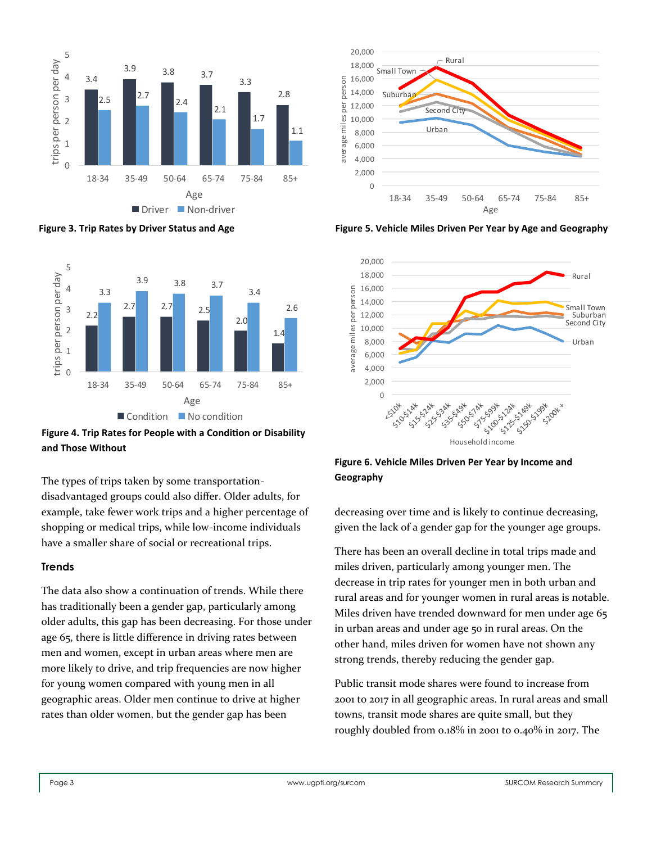

**Figure 3. Trip Rates by Driver Status and Age**



**Figure 4. Trip Rates for People with a Condition or Disability and Those Without**

The types of trips taken by some transportationdisadvantaged groups could also differ. Older adults, for example, take fewer work trips and a higher percentage of shopping or medical trips, while low-income individuals have a smaller share of social or recreational trips.

### **Trends**

The data also show a continuation of trends. While there has traditionally been a gender gap, particularly among older adults, this gap has been decreasing. For those under age 65, there is little difference in driving rates between men and women, except in urban areas where men are more likely to drive, and trip frequencies are now higher for young women compared with young men in all geographic areas. Older men continue to drive at higher rates than older women, but the gender gap has been



**Figure 5. Vehicle Miles Driven Per Year by Age and Geography**



**Figure 6. Vehicle Miles Driven Per Year by Income and Geography**

decreasing over time and is likely to continue decreasing, given the lack of a gender gap for the younger age groups.

There has been an overall decline in total trips made and miles driven, particularly among younger men. The decrease in trip rates for younger men in both urban and rural areas and for younger women in rural areas is notable. Miles driven have trended downward for men under age 65 in urban areas and under age 50 in rural areas. On the other hand, miles driven for women have not shown any strong trends, thereby reducing the gender gap.

Public transit mode shares were found to increase from 2001 to 2017 in all geographic areas. In rural areas and small towns, transit mode shares are quite small, but they roughly doubled from 0.18% in 2001 to 0.40% in 2017. The